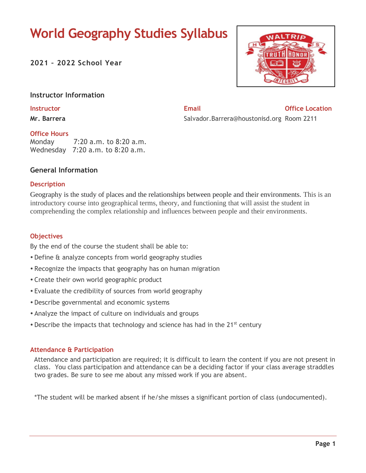# **World Geography Studies Syllabus**

**2021 – 2022 School Year**



#### **Instructor Information**

**Mr. Barrera**

## **Instructor Email Office Location** Salvador.Barrera@houstonisd.org Room 2211

### **Office Hours**

Monday 7:20 a.m. to 8:20 a.m. Wednesday 7:20 a.m. to 8:20 a.m.

#### **General Information**

#### **Description**

Geography is the study of places and the relationships between people and their environments. This is an introductory course into geographical terms, theory, and functioning that will assist the student in comprehending the complex relationship and influences between people and their environments.

#### **Objectives**

By the end of the course the student shall be able to:

- Define & analyze concepts from world geography studies
- Recognize the impacts that geography has on human migration
- Create their own world geographic product
- Evaluate the credibility of sources from world geography
- Describe governmental and economic systems
- Analyze the impact of culture on individuals and groups
- Describe the impacts that technology and science has had in the 21<sup>st</sup> century

#### **Attendance & Participation**

 Attendance and participation are required; it is difficult to learn the content if you are not present in class. You class participation and attendance can be a deciding factor if your class average straddles two grades. Be sure to see me about any missed work if you are absent.

\*The student will be marked absent if he/she misses a significant portion of class (undocumented).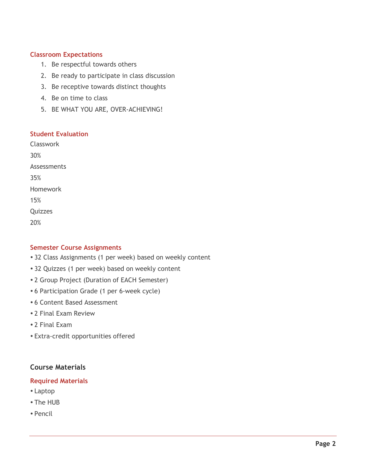#### **Classroom Expectations**

- 1. Be respectful towards others
- 2. Be ready to participate in class discussion
- 3. Be receptive towards distinct thoughts
- 4. Be on time to class
- 5. BE WHAT YOU ARE, OVER-ACHIEVING!

#### **Student Evaluation**

Classwork 30% Assessments 35% Homework 15% **Ouizzes** 20%

#### **Semester Course Assignments**

- 32 Class Assignments (1 per week) based on weekly content
- 32 Quizzes (1 per week) based on weekly content
- 2 Group Project (Duration of EACH Semester)
- 6 Participation Grade (1 per 6-week cycle)
- 6 Content Based Assessment
- 2 Final Exam Review
- 2 Final Exam
- Extra-credit opportunities offered

### **Course Materials**

#### **Required Materials**

- Laptop
- The HUB
- Pencil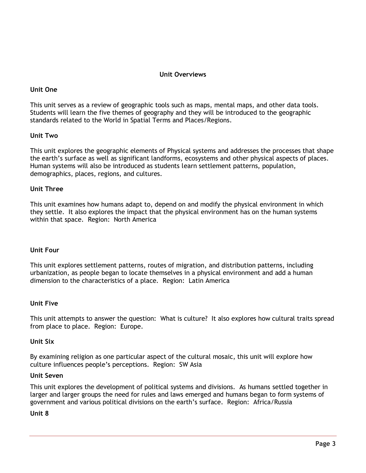#### **Unit Overviews**

#### **Unit One**

This unit serves as a review of geographic tools such as maps, mental maps, and other data tools. Students will learn the five themes of geography and they will be introduced to the geographic standards related to the World in Spatial Terms and Places/Regions.

#### **Unit Two**

This unit explores the geographic elements of Physical systems and addresses the processes that shape the earth's surface as well as significant landforms, ecosystems and other physical aspects of places. Human systems will also be introduced as students learn settlement patterns, population, demographics, places, regions, and cultures.

#### **Unit Three**

This unit examines how humans adapt to, depend on and modify the physical environment in which they settle. It also explores the impact that the physical environment has on the human systems within that space. Region: North America

#### **Unit Four**

This unit explores settlement patterns, routes of migration, and distribution patterns, including urbanization, as people began to locate themselves in a physical environment and add a human dimension to the characteristics of a place. Region: Latin America

#### **Unit Five**

This unit attempts to answer the question: What is culture? It also explores how cultural traits spread from place to place. Region: Europe.

#### **Unit Six**

By examining religion as one particular aspect of the cultural mosaic, this unit will explore how culture influences people's perceptions. Region: SW Asia

#### **Unit Seven**

This unit explores the development of political systems and divisions. As humans settled together in larger and larger groups the need for rules and laws emerged and humans began to form systems of government and various political divisions on the earth's surface. Region: Africa/Russia

#### **Unit 8**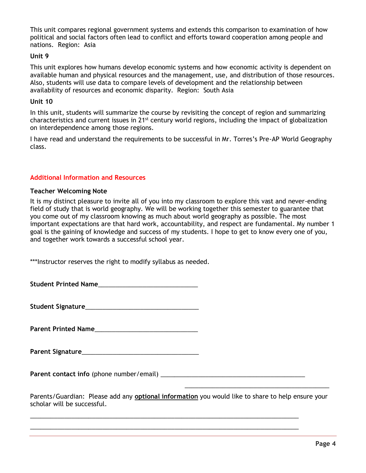This unit compares regional government systems and extends this comparison to examination of how political and social factors often lead to conflict and efforts toward cooperation among people and nations. Region: Asia

#### **Unit 9**

This unit explores how humans develop economic systems and how economic activity is dependent on available human and physical resources and the management, use, and distribution of those resources. Also, students will use data to compare levels of development and the relationship between availability of resources and economic disparity. Region: South Asia

#### **Unit 10**

In this unit, students will summarize the course by revisiting the concept of region and summarizing characteristics and current issues in 21st century world regions, including the impact of globalization on interdependence among those regions.

I have read and understand the requirements to be successful in Mr. Torres's Pre-AP World Geography class.

#### **Additional Information and Resources**

#### **Teacher Welcoming Note**

It is my distinct pleasure to invite all of you into my classroom to explore this vast and never-ending field of study that is world geography. We will be working together this semester to guarantee that you come out of my classroom knowing as much about world geography as possible. The most important expectations are that hard work, accountability, and respect are fundamental. My number 1 goal is the gaining of knowledge and success of my students. I hope to get to know every one of you, and together work towards a successful school year.

\*\*\*Instructor reserves the right to modify syllabus as needed.

**Student Printed Name**\_\_\_\_\_\_\_\_\_\_\_\_\_\_\_\_\_\_\_\_\_\_\_\_\_\_\_\_\_

**Student Signature**\_\_\_\_\_\_\_\_\_\_\_\_\_\_\_\_\_\_\_\_\_\_\_\_\_\_\_\_\_\_\_\_\_

**Parent Printed Name** 

**Parent Signature**\_\_\_\_\_\_\_\_\_\_\_\_\_\_\_\_\_\_\_\_\_\_\_\_\_\_\_\_\_\_\_\_\_\_

**Parent contact info** (phone number/email) \_\_\_\_\_\_\_\_\_\_\_\_\_\_\_\_\_\_\_\_\_\_\_\_\_\_\_\_\_\_\_\_\_\_\_\_\_\_\_\_\_\_

\_\_\_\_\_\_\_\_\_\_\_\_\_\_\_\_\_\_\_\_\_\_\_\_\_\_\_\_\_\_\_\_\_\_\_\_\_\_\_\_\_\_\_\_\_\_\_\_\_\_\_\_\_\_\_\_\_\_\_\_\_\_\_\_\_\_\_\_\_\_\_\_\_\_\_\_\_\_ \_\_\_\_\_\_\_\_\_\_\_\_\_\_\_\_\_\_\_\_\_\_\_\_\_\_\_\_\_\_\_\_\_\_\_\_\_\_\_\_\_\_\_\_\_\_\_\_\_\_\_\_\_\_\_\_\_\_\_\_\_\_\_\_\_\_\_\_\_\_\_\_\_\_\_\_\_\_

Parents/Guardian: Please add any **optional information** you would like to share to help ensure your scholar will be successful.

 $\overline{\phantom{a}}$  , and the contract of the contract of the contract of the contract of the contract of the contract of the contract of the contract of the contract of the contract of the contract of the contract of the contrac